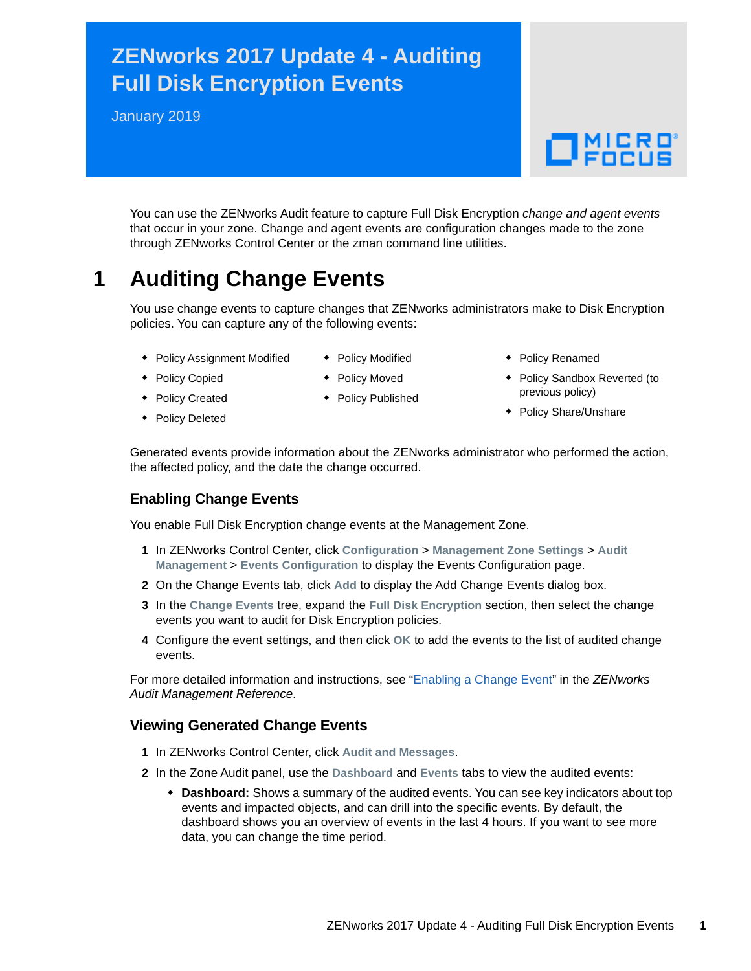# **ZENworks 2017 Update 4 - Auditing Full Disk Encryption Events**

January 2019

# $\Box$ MICRO'

You can use the ZENworks Audit feature to capture Full Disk Encryption *change and agent events* that occur in your zone. Change and agent events are configuration changes made to the zone through ZENworks Control Center or the zman command line utilities.

## **1 Auditing Change Events**

You use change events to capture changes that ZENworks administrators make to Disk Encryption policies. You can capture any of the following events:

- **Policy Assignment Modified**
- ◆ Policy Modified
- Policy Renamed
- Policy Copied
- Policy Moved
- ◆ Policy Published
- 
- Policy Sandbox Reverted (to previous policy)
- Policy Share/Unshare

• Policy Created Policy Deleted

Generated events provide information about the ZENworks administrator who performed the action, the affected policy, and the date the change occurred.

#### **Enabling Change Events**

You enable Full Disk Encryption change events at the Management Zone.

- **1** In ZENworks Control Center, click **Configuration** > **Management Zone Settings** > **Audit Management** > **Events Configuration** to display the Events Configuration page.
- **2** On the Change Events tab, click **Add** to display the Add Change Events dialog box.
- **3** In the **Change Events** tree, expand the **Full Disk Encryption** section, then select the change events you want to audit for Disk Encryption policies.
- **4** Configure the event settings, and then click **OK** to add the events to the list of audited change events.

For more detailed information and instructions, see "[Enabling a Change Event](https://www.novell.com/documentation/zenworks2017/pdfdoc/zen_audit_management/zen_audit_management.pdf#b16qrf3y)" in the *ZENworks Audit Management Reference*.

#### **Viewing Generated Change Events**

- **1** In ZENworks Control Center, click **Audit and Messages**.
- **2** In the Zone Audit panel, use the **Dashboard** and **Events** tabs to view the audited events:
	- **Dashboard:** Shows a summary of the audited events. You can see key indicators about top events and impacted objects, and can drill into the specific events. By default, the dashboard shows you an overview of events in the last 4 hours. If you want to see more data, you can change the time period.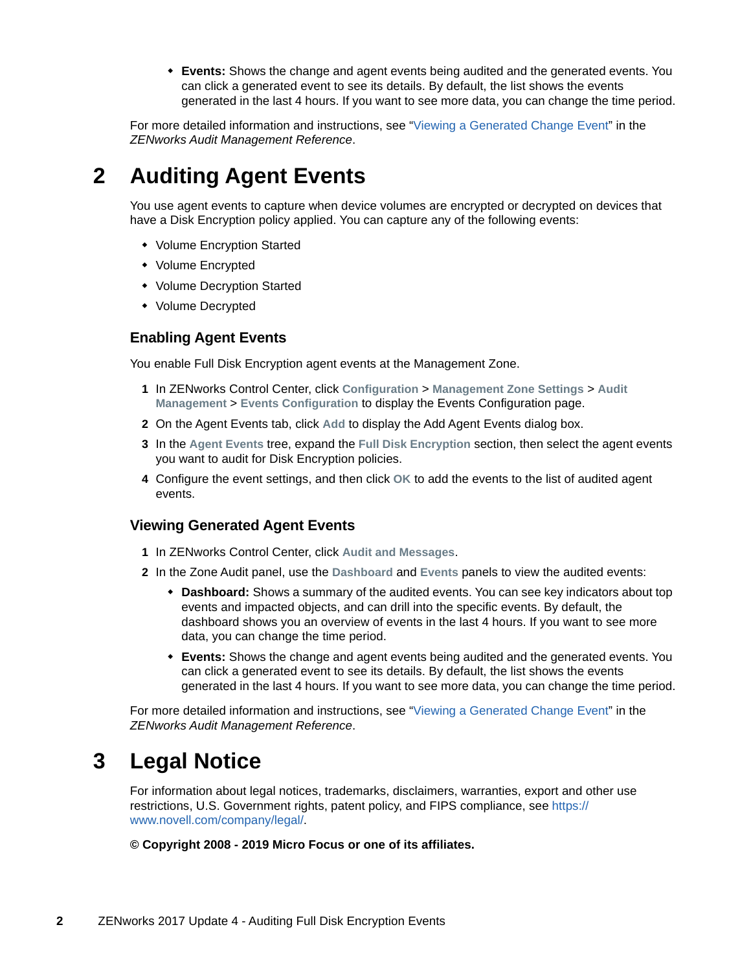**Events:** Shows the change and agent events being audited and the generated events. You can click a generated event to see its details. By default, the list shows the events generated in the last 4 hours. If you want to see more data, you can change the time period.

For more detailed information and instructions, see ["Viewing a Generated Change Event](https://www.novell.com/documentation/zenworks2017/pdfdoc/zen_audit_management/zen_audit_management.pdf#b16qs25l)" in the *ZENworks Audit Management Reference*.

## **2 Auditing Agent Events**

You use agent events to capture when device volumes are encrypted or decrypted on devices that have a Disk Encryption policy applied. You can capture any of the following events:

- Volume Encryption Started
- Volume Encrypted
- Volume Decryption Started
- Volume Decrypted

#### **Enabling Agent Events**

You enable Full Disk Encryption agent events at the Management Zone.

- **1** In ZENworks Control Center, click **Configuration** > **Management Zone Settings** > **Audit Management** > **Events Configuration** to display the Events Configuration page.
- **2** On the Agent Events tab, click **Add** to display the Add Agent Events dialog box.
- **3** In the **Agent Events** tree, expand the **Full Disk Encryption** section, then select the agent events you want to audit for Disk Encryption policies.
- **4** Configure the event settings, and then click **OK** to add the events to the list of audited agent events.

#### **Viewing Generated Agent Events**

- **1** In ZENworks Control Center, click **Audit and Messages**.
- **2** In the Zone Audit panel, use the **Dashboard** and **Events** panels to view the audited events:
	- **Dashboard:** Shows a summary of the audited events. You can see key indicators about top events and impacted objects, and can drill into the specific events. By default, the dashboard shows you an overview of events in the last 4 hours. If you want to see more data, you can change the time period.
	- **Events:** Shows the change and agent events being audited and the generated events. You can click a generated event to see its details. By default, the list shows the events generated in the last 4 hours. If you want to see more data, you can change the time period.

For more detailed information and instructions, see ["Viewing a Generated Change Event](https://www.novell.com/documentation/zenworks2017/pdfdoc/zen_audit_management/zen_audit_management.pdf#b16qs25l)" in the *ZENworks Audit Management Reference*.

### **3 Legal Notice**

For information about legal notices, trademarks, disclaimers, warranties, export and other use restrictions, U.S. Government rights, patent policy, and FIPS compliance, see [https://](https://www.novell.com/company/legal/) [www.novell.com/company/legal/.](https://www.novell.com/company/legal/)

**© Copyright 2008 - 2019 Micro Focus or one of its affiliates.**